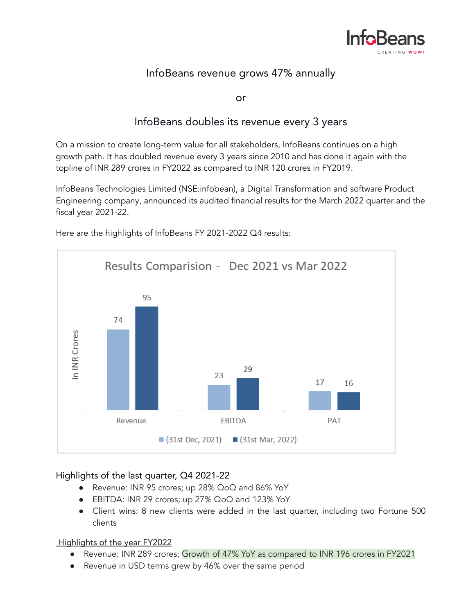

## InfoBeans revenue grows 47% annually

or

## InfoBeans doubles its revenue every 3 years

On a mission to create long-term value for all stakeholders, InfoBeans continues on a high growth path. It has doubled revenue every 3 years since 2010 and has done it again with the topline of INR 289 crores in FY2022 as compared to INR 120 crores in FY2019.

InfoBeans Technologies Limited (NSE:infobean), a Digital Transformation and software Product Engineering company, announced its audited financial results for the March 2022 quarter and the fiscal year 2021-22.



Here are the highlights of InfoBeans FY 2021-2022 Q4 results:

### Highlights of the last quarter, Q4 2021-22

- Revenue: INR 95 crores; up 28% QoQ and 86% YoY
- EBITDA: INR 29 crores; up 27% QoQ and 123% YoY
- Client wins: 8 new clients were added in the last quarter, including two Fortune 500 clients

### Highlights of the year FY2022

- Revenue: INR 289 crores; Growth of 47% YoY as compared to INR 196 crores in FY2021
- Revenue in USD terms grew by 46% over the same period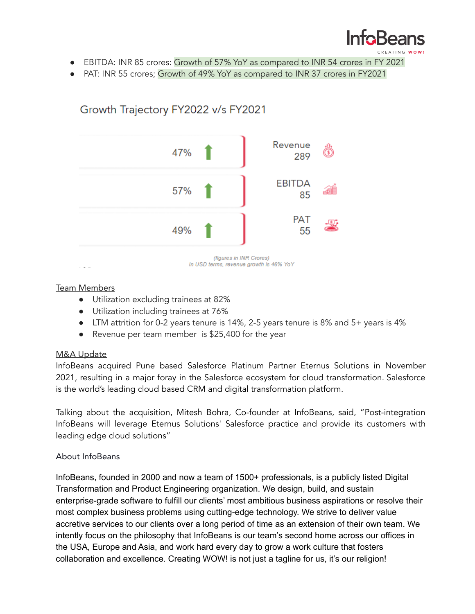

- EBITDA: INR 85 crores: Growth of 57% YoY as compared to INR 54 crores in FY 2021
- PAT: INR 55 crores; Growth of 49% YoY as compared to INR 37 crores in FY2021



# Growth Trajectory FY2022 v/s FY2021

### Team Members

- Utilization excluding trainees at 82%
- Utilization including trainees at 76%
- LTM attrition for 0-2 years tenure is 14%, 2-5 years tenure is 8% and 5+ years is 4%
- Revenue per team member is \$25,400 for the year

### M&A Update

InfoBeans acquired Pune based Salesforce Platinum Partner Eternus Solutions in November 2021, resulting in a major foray in the Salesforce ecosystem for cloud transformation. Salesforce is the world's leading cloud based CRM and digital transformation platform.

Talking about the acquisition, Mitesh Bohra, Co-founder at InfoBeans, said, "Post-integration InfoBeans will leverage Eternus Solutions' Salesforce practice and provide its customers with leading edge cloud solutions"

### About InfoBeans

InfoBeans, founded in 2000 and now a team of 1500+ professionals, is a publicly listed Digital Transformation and Product Engineering organization. We design, build, and sustain enterprise-grade software to fulfill our clients' most ambitious business aspirations or resolve their most complex business problems using cutting-edge technology. We strive to deliver value accretive services to our clients over a long period of time as an extension of their own team. We intently focus on the philosophy that InfoBeans is our team's second home across our offices in the USA, Europe and Asia, and work hard every day to grow a work culture that fosters collaboration and excellence. Creating WOW! is not just a tagline for us, it's our religion!